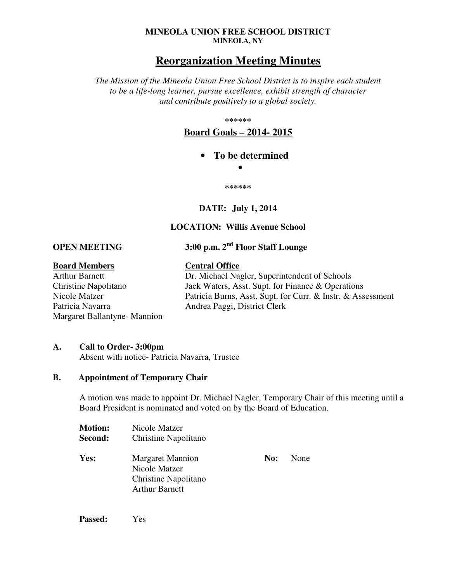#### **MINEOLA UNION FREE SCHOOL DISTRICT MINEOLA, NY**

# **Reorganization Meeting Minutes**

*The Mission of the Mineola Union Free School District is to inspire each student to be a life-long learner, pursue excellence, exhibit strength of character and contribute positively to a global society.* 

**\*\*\*\*\*\*** 

**Board Goals – 2014- 2015**

• **To be determined** 

•

**\*\*\*\*\*\*** 

## **DATE: July 1, 2014**

## **LOCATION: Willis Avenue School**

**OPEN MEETING 3:00 p.m. 2nd Floor Staff Lounge** 

**Board Members**<br>Arthur Barnett **Central Office**<br>Dr. Michael Na Patricia Navarra Mandrea Paggi, District Clerk Margaret Ballantyne- Mannion

Dr. Michael Nagler, Superintendent of Schools Christine Napolitano Jack Waters, Asst. Supt. for Finance & Operations Nicole Matzer Patricia Burns, Asst. Supt. for Curr. & Instr. & Assessment

## **A. Call to Order- 3:00pm**

Absent with notice- Patricia Navarra, Trustee

## **B. Appointment of Temporary Chair**

A motion was made to appoint Dr. Michael Nagler, Temporary Chair of this meeting until a Board President is nominated and voted on by the Board of Education.

| <b>Motion:</b><br>Second: | Nicole Matzer<br>Christine Napolitano                                                     |     |             |
|---------------------------|-------------------------------------------------------------------------------------------|-----|-------------|
| Yes:                      | <b>Margaret Mannion</b><br>Nicole Matzer<br>Christine Napolitano<br><b>Arthur Barnett</b> | No: | <b>None</b> |

**Passed:** Yes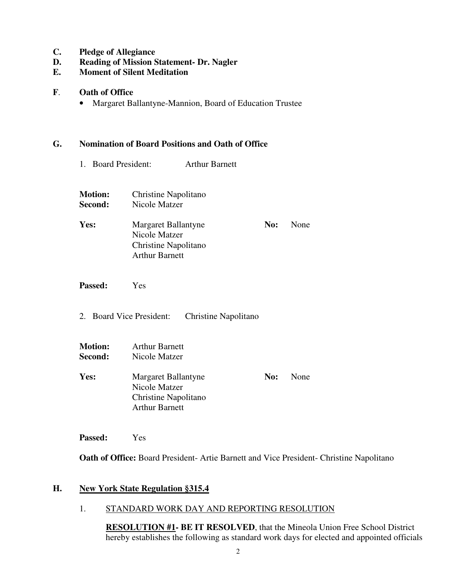- **C. Pledge of Allegiance**
- **D. Reading of Mission Statement- Dr. Nagler**
- **E. Moment of Silent Meditation**
- **F**. **Oath of Office** 
	- Margaret Ballantyne-Mannion, Board of Education Trustee

#### **G. Nomination of Board Positions and Oath of Office**

- 1. Board President: Arthur Barnett
- **Motion:** Christine Napolitano **Second:** Nicole Matzer Yes: Margaret Ballantyne **No:** None Nicole Matzer Christine Napolitano Arthur Barnett
- **Passed:** Yes
- 2. Board Vice President: Christine Napolitano
- **Motion:** Arthur Barnett **Second:** Nicole Matzer
- Yes: Margaret Ballantyne **No:** None Nicole Matzer Christine Napolitano Arthur Barnett

**Passed:** Yes

**Oath of Office:** Board President- Artie Barnett and Vice President- Christine Napolitano

## **H. New York State Regulation §315.4**

## 1. STANDARD WORK DAY AND REPORTING RESOLUTION

**RESOLUTION #1- BE IT RESOLVED**, that the Mineola Union Free School District hereby establishes the following as standard work days for elected and appointed officials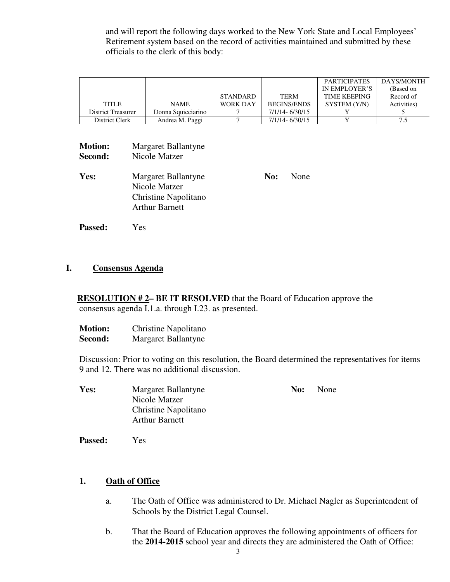and will report the following days worked to the New York State and Local Employees' Retirement system based on the record of activities maintained and submitted by these officials to the clerk of this body:

|                    |                    |                 |                    | <b>PARTICIPATES</b> | DAYS/MONTH  |
|--------------------|--------------------|-----------------|--------------------|---------------------|-------------|
|                    |                    |                 |                    | IN EMPLOYER'S       | (Based on   |
|                    |                    | <b>STANDARD</b> | <b>TERM</b>        | <b>TIME KEEPING</b> | Record of   |
| <b>TITLE</b>       | <b>NAME</b>        | <b>WORK DAY</b> | <b>BEGINS/ENDS</b> | SYSTEM (Y/N)        | Activities) |
| District Treasurer | Donna Squicciarino |                 | 7/1/14-6/30/15     |                     |             |
| District Clerk     | Andrea M. Paggi    |                 | 7/1/14-6/30/15     |                     |             |

| <b>Motion:</b><br>Second: | Margaret Ballantyne<br>Nicole Matzer                                                  |     |      |
|---------------------------|---------------------------------------------------------------------------------------|-----|------|
| Yes:                      | Margaret Ballantyne<br>Nicole Matzer<br>Christine Napolitano<br><b>Arthur Barnett</b> | No: | None |

**Passed:** Yes

## **I. Consensus Agenda**

**RESOLUTION #2– BE IT RESOLVED** that the Board of Education approve the consensus agenda I.1.a. through I.23. as presented.

| <b>Motion:</b> | Christine Napolitano |
|----------------|----------------------|
| Second:        | Margaret Ballantyne  |

Discussion: Prior to voting on this resolution, the Board determined the representatives for items 9 and 12. There was no additional discussion.

| Margaret Ballantyne                                  | No: | None |  |
|------------------------------------------------------|-----|------|--|
| Nicole Matzer                                        |     |      |  |
| <b>Christine Napolitano</b><br><b>Arthur Barnett</b> |     |      |  |
|                                                      |     |      |  |

 **Passed:** Yes

## **1. Oath of Office**

- a. The Oath of Office was administered to Dr. Michael Nagler as Superintendent of Schools by the District Legal Counsel.
- b. That the Board of Education approves the following appointments of officers for the **2014-2015** school year and directs they are administered the Oath of Office: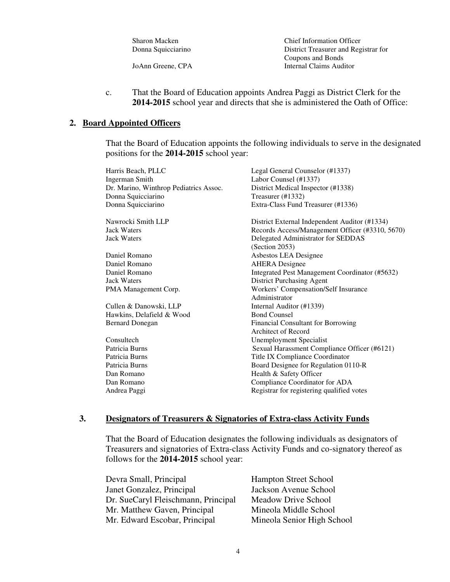| Sharon Macken      | <b>Chief Information Officer</b>     |
|--------------------|--------------------------------------|
| Donna Squicciarino | District Treasurer and Registrar for |
|                    | Coupons and Bonds                    |
| JoAnn Greene, CPA  | Internal Claims Auditor              |
|                    |                                      |

c. That the Board of Education appoints Andrea Paggi as District Clerk for the **2014-2015** school year and directs that she is administered the Oath of Office:

## **2. Board Appointed Officers**

That the Board of Education appoints the following individuals to serve in the designated positions for the **2014-2015** school year:

| Harris Beach, PLLC                     | Legal General Counselor (#1337)                 |
|----------------------------------------|-------------------------------------------------|
| <b>Ingerman Smith</b>                  | Labor Counsel (#1337)                           |
| Dr. Marino, Winthrop Pediatrics Assoc. | District Medical Inspector (#1338)              |
| Donna Squicciarino                     | Treasurer (#1332)                               |
| Donna Squicciarino                     | Extra-Class Fund Treasurer (#1336)              |
| Nawrocki Smith LLP                     | District External Independent Auditor (#1334)   |
| <b>Jack Waters</b>                     | Records Access/Management Officer (#3310, 5670) |
| <b>Jack Waters</b>                     | Delegated Administrator for SEDDAS              |
|                                        | (Section 2053)                                  |
| Daniel Romano                          | Asbestos LEA Designee                           |
| Daniel Romano                          | <b>AHERA</b> Designee                           |
| Daniel Romano                          | Integrated Pest Management Coordinator (#5632)  |
| <b>Jack Waters</b>                     | District Purchasing Agent                       |
| PMA Management Corp.                   | <b>Workers' Compensation/Self Insurance</b>     |
|                                        | Administrator                                   |
| Cullen & Danowski, LLP                 | Internal Auditor (#1339)                        |
| Hawkins, Delafield & Wood              | <b>Bond Counsel</b>                             |
| <b>Bernard Donegan</b>                 | Financial Consultant for Borrowing              |
|                                        | Architect of Record                             |
| Consultech                             | <b>Unemployment Specialist</b>                  |
| Patricia Burns                         | Sexual Harassment Compliance Officer (#6121)    |
| Patricia Burns                         | Title IX Compliance Coordinator                 |
| Patricia Burns                         | Board Designee for Regulation 0110-R            |
| Dan Romano                             | Health & Safety Officer                         |
| Dan Romano                             | Compliance Coordinator for ADA                  |
| Andrea Paggi                           | Registrar for registering qualified votes       |
|                                        |                                                 |

## **3. Designators of Treasurers & Signatories of Extra-class Activity Funds**

That the Board of Education designates the following individuals as designators of Treasurers and signatories of Extra-class Activity Funds and co-signatory thereof as follows for the **2014-2015** school year:

| <b>Hampton Street School</b>                               |
|------------------------------------------------------------|
| Jackson Avenue School                                      |
| Dr. SueCaryl Fleischmann, Principal<br>Meadow Drive School |
| Mineola Middle School                                      |
| Mineola Senior High School                                 |
|                                                            |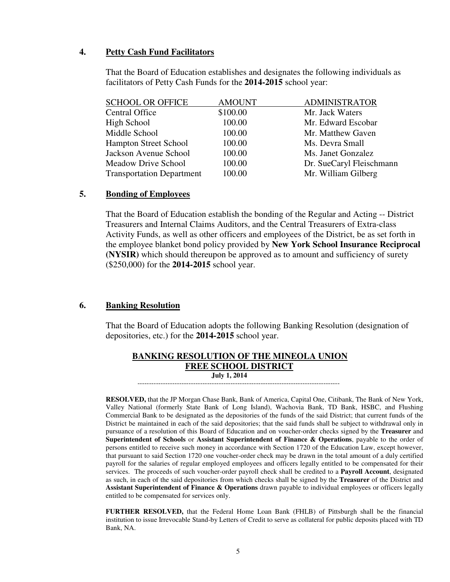## **4. Petty Cash Fund Facilitators**

That the Board of Education establishes and designates the following individuals as facilitators of Petty Cash Funds for the **2014-2015** school year:

| <b>SCHOOL OR OFFICE</b>          | <b>AMOUNT</b> | <b>ADMINISTRATOR</b>     |
|----------------------------------|---------------|--------------------------|
| <b>Central Office</b>            | \$100.00      | Mr. Jack Waters          |
| High School                      | 100.00        | Mr. Edward Escobar       |
| Middle School                    | 100.00        | Mr. Matthew Gaven        |
| <b>Hampton Street School</b>     | 100.00        | Ms. Devra Small          |
| Jackson Avenue School            | 100.00        | Ms. Janet Gonzalez       |
| <b>Meadow Drive School</b>       | 100.00        | Dr. SueCaryl Fleischmann |
| <b>Transportation Department</b> | 100.00        | Mr. William Gilberg      |
|                                  |               |                          |

## **5. Bonding of Employees**

 That the Board of Education establish the bonding of the Regular and Acting -- District Treasurers and Internal Claims Auditors, and the Central Treasurers of Extra-class Activity Funds, as well as other officers and employees of the District, be as set forth in the employee blanket bond policy provided by **New York School Insurance Reciprocal (NYSIR)** which should thereupon be approved as to amount and sufficiency of surety (\$250,000) for the **2014-2015** school year.

#### **6. Banking Resolution**

That the Board of Education adopts the following Banking Resolution (designation of depositories, etc.) for the **2014-2015** school year.

| <b>BANKING RESOLUTION OF THE MINEOLA UNION</b> |
|------------------------------------------------|
| <b>FREE SCHOOL DISTRICT</b>                    |
| <b>July 1, 2014</b>                            |

---------------------------------------------------------------------------------------

 **RESOLVED,** that the JP Morgan Chase Bank, Bank of America, Capital One, Citibank, The Bank of New York, Valley National (formerly State Bank of Long Island), Wachovia Bank, TD Bank, HSBC, and Flushing Commercial Bank to be designated as the depositories of the funds of the said District; that current funds of the District be maintained in each of the said depositories; that the said funds shall be subject to withdrawal only in pursuance of a resolution of this Board of Education and on voucher-order checks signed by the **Treasurer** and **Superintendent of Schools** or **Assistant Superintendent of Finance & Operations**, payable to the order of persons entitled to receive such money in accordance with Section 1720 of the Education Law, except however, that pursuant to said Section 1720 one voucher-order check may be drawn in the total amount of a duly certified payroll for the salaries of regular employed employees and officers legally entitled to be compensated for their services. The proceeds of such voucher-order payroll check shall be credited to a **Payroll Account**, designated as such, in each of the said depositories from which checks shall be signed by the **Treasurer** of the District and **Assistant Superintendent of Finance & Operations** drawn payable to individual employees or officers legally entitled to be compensated for services only.

**FURTHER RESOLVED,** that the Federal Home Loan Bank (FHLB) of Pittsburgh shall be the financial institution to issue Irrevocable Stand-by Letters of Credit to serve as collateral for public deposits placed with TD Bank, NA.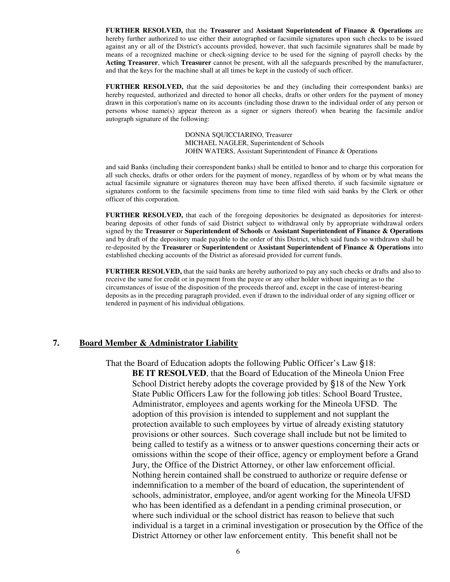**FURTHER RESOLVED,** that the **Treasurer** and **Assistant Superintendent of Finance & Operations** are hereby further authorized to use either their autographed or facsimile signatures upon such checks to be issued against any or all of the District's accounts provided, however, that such facsimile signatures shall be made by means of a recognized machine or check-signing device to be used for the signing of payroll checks by the **Acting Treasurer**, which **Treasurer** cannot be present, with all the safeguards prescribed by the manufacturer, and that the keys for the machine shall at all times be kept in the custody of such officer.

**FURTHER RESOLVED,** that the said depositories be and they (including their correspondent banks) are hereby requested, authorized and directed to honor all checks, drafts or other orders for the payment of money drawn in this corporation's name on its accounts (including those drawn to the individual order of any person or persons whose name(s) appear thereon as a signer or signers thereof) when bearing the facsimile and/or autograph signature of the following:

> DONNA SQUICCIARINO, Treasurer MICHAEL NAGLER, Superintendent of Schools JOHN WATERS, Assistant Superintendent of Finance & Operations

and said Banks (including their correspondent banks) shall be entitled to honor and to charge this corporation for all such checks, drafts or other orders for the payment of money, regardless of by whom or by what means the actual facsimile signature or signatures thereon may have been affixed thereto, if such facsimile signature or signatures conform to the facsimile specimens from time to time filed with said banks by the Clerk or other officer of this corporation.

**FURTHER RESOLVED,** that each of the foregoing depositories be designated as depositories for interestbearing deposits of other funds of said District subject to withdrawal only by appropriate withdrawal orders signed by the **Treasurer** or **Superintendent of Schools** or **Assistant Superintendent of Finance & Operations** and by draft of the depository made payable to the order of this District, which said funds so withdrawn shall be re-deposited by the **Treasurer** or **Superintendent** or **Assistant Superintendent of Finance & Operations** into established checking accounts of the District as aforesaid provided for current funds.

**FURTHER RESOLVED,** that the said banks are hereby authorized to pay any such checks or drafts and also to receive the same for credit or in payment from the payee or any other holder without inquiring as to the circumstances of issue of the disposition of the proceeds thereof and, except in the case of interest-bearing deposits as in the preceding paragraph provided, even if drawn to the individual order of any signing officer or tendered in payment of his individual obligations.

#### **7. Board Member & Administrator Liability**

 That the Board of Education adopts the following Public Officer's Law §18: **BE IT RESOLVED**, that the Board of Education of the Mineola Union Free School District hereby adopts the coverage provided by §18 of the New York State Public Officers Law for the following job titles: School Board Trustee, Administrator, employees and agents working for the Mineola UFSD. The adoption of this provision is intended to supplement and not supplant the protection available to such employees by virtue of already existing statutory provisions or other sources. Such coverage shall include but not be limited to being called to testify as a witness or to answer questions concerning their acts or omissions within the scope of their office, agency or employment before a Grand Jury, the Office of the District Attorney, or other law enforcement official. Nothing herein contained shall be construed to authorize or require defense or indemnification to a member of the board of education, the superintendent of schools, administrator, employee, and/or agent working for the Mineola UFSD who has been identified as a defendant in a pending criminal prosecution, or where such individual or the school district has reason to believe that such individual is a target in a criminal investigation or prosecution by the Office of the District Attorney or other law enforcement entity. This benefit shall not be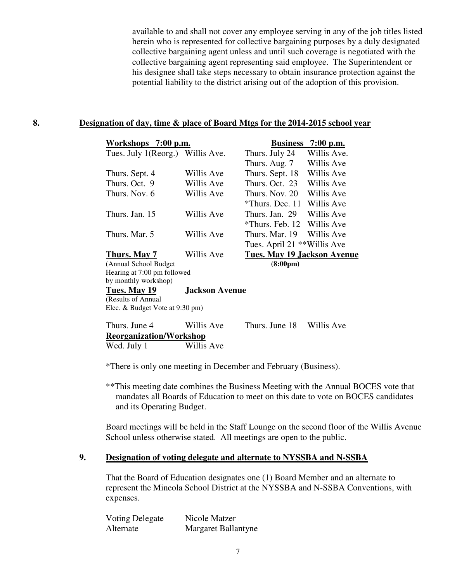available to and shall not cover any employee serving in any of the job titles listed herein who is represented for collective bargaining purposes by a duly designated collective bargaining agent unless and until such coverage is negotiated with the collective bargaining agent representing said employee. The Superintendent or his designee shall take steps necessary to obtain insurance protection against the potential liability to the district arising out of the adoption of this provision.

## **8. Designation of day, time & place of Board Mtgs for the 2014-2015 school year**

| Workshops 7:00 p.m.              |                                 | <b>Business</b>                    | $7:00$ p.m. |  |  |
|----------------------------------|---------------------------------|------------------------------------|-------------|--|--|
| Tues. July 1(Reorg.) Willis Ave. |                                 | Thurs. July 24                     | Willis Ave. |  |  |
|                                  |                                 | Thurs. Aug. 7                      | Willis Ave  |  |  |
| Thurs. Sept. 4                   | Willis Ave                      | Thurs. Sept. 18                    | Willis Ave  |  |  |
| Thurs. Oct. 9                    | Willis Ave                      | Thurs. Oct. 23                     | Willis Ave  |  |  |
| Thurs. Nov. 6                    | Willis Ave                      | Thurs, Nov. 20                     | Willis Ave  |  |  |
|                                  |                                 | *Thurs. Dec. 11                    | Willis Ave  |  |  |
| Thurs. Jan. 15                   | Willis Ave                      | Thurs. Jan. 29                     | Willis Ave  |  |  |
|                                  |                                 | *Thurs, Feb. 12 Willis Ave         |             |  |  |
| Thurs. Mar. 5                    | Willis Ave                      | Thurs, Mar. 19                     | Willis Ave  |  |  |
|                                  |                                 | Tues. April 21 **Willis Ave        |             |  |  |
| Thurs. May 7                     | Willis Ave                      | <b>Tues. May 19 Jackson Avenue</b> |             |  |  |
| (Annual School Budget)           |                                 | $(8:00 \text{pm})$                 |             |  |  |
| Hearing at 7:00 pm followed      |                                 |                                    |             |  |  |
| by monthly workshop)             |                                 |                                    |             |  |  |
| Tues. May 19                     | <b>Jackson Avenue</b>           |                                    |             |  |  |
| (Results of Annual               |                                 |                                    |             |  |  |
|                                  | Elec. & Budget Vote at 9:30 pm) |                                    |             |  |  |
|                                  |                                 |                                    |             |  |  |

| Thurs. June 4                  | Willis Ave | Thurs. June 18 | Willis Ave |
|--------------------------------|------------|----------------|------------|
| <b>Reorganization/Workshop</b> |            |                |            |
| Wed. July 1                    | Willis Ave |                |            |

\*There is only one meeting in December and February (Business).

\*\*This meeting date combines the Business Meeting with the Annual BOCES vote that mandates all Boards of Education to meet on this date to vote on BOCES candidates and its Operating Budget.

Board meetings will be held in the Staff Lounge on the second floor of the Willis Avenue School unless otherwise stated. All meetings are open to the public.

## **9. Designation of voting delegate and alternate to NYSSBA and N-SSBA**

That the Board of Education designates one (1) Board Member and an alternate to represent the Mineola School District at the NYSSBA and N-SSBA Conventions, with expenses.

| Voting Delegate | Nicole Matzer              |
|-----------------|----------------------------|
| Alternate       | <b>Margaret Ballantyne</b> |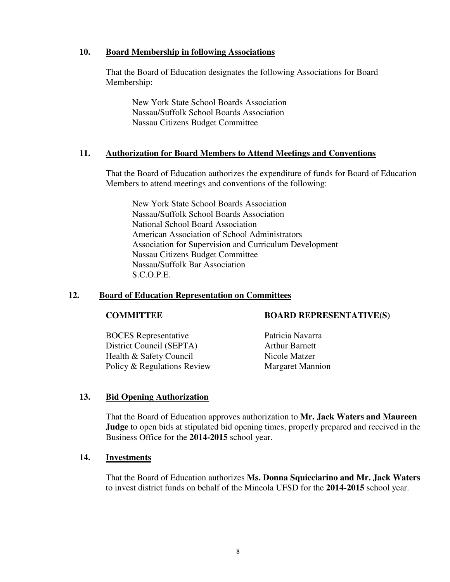## **10. Board Membership in following Associations**

That the Board of Education designates the following Associations for Board Membership:

New York State School Boards Association Nassau/Suffolk School Boards Association Nassau Citizens Budget Committee

## **11. Authorization for Board Members to Attend Meetings and Conventions**

That the Board of Education authorizes the expenditure of funds for Board of Education Members to attend meetings and conventions of the following:

New York State School Boards Association Nassau/Suffolk School Boards Association National School Board Association American Association of School Administrators Association for Supervision and Curriculum Development Nassau Citizens Budget Committee Nassau/Suffolk Bar Association S.C.O.P.E.

## **12. Board of Education Representation on Committees**

BOCES Representative Patricia Navarra District Council (SEPTA) Arthur Barnett Health & Safety Council Nicole Matzer Policy & Regulations Review Margaret Mannion

## **COMMITTEE BOARD REPRESENTATIVE(S)**

## **13. Bid Opening Authorization**

That the Board of Education approves authorization to **Mr. Jack Waters and Maureen Judge** to open bids at stipulated bid opening times, properly prepared and received in the Business Office for the **2014-2015** school year.

## **14. Investments**

That the Board of Education authorizes **Ms. Donna Squicciarino and Mr. Jack Waters** to invest district funds on behalf of the Mineola UFSD for the **2014-2015** school year.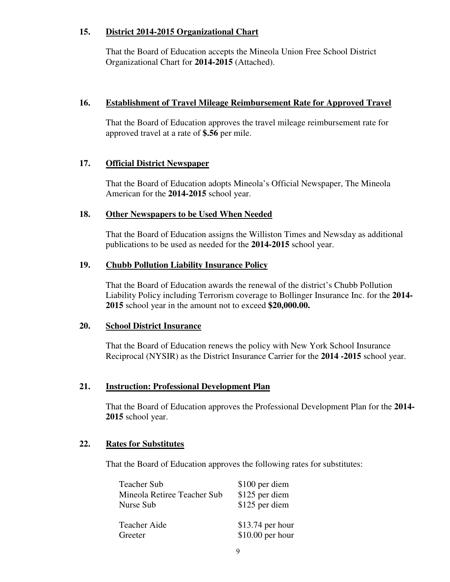## **15. District 2014-2015 Organizational Chart**

That the Board of Education accepts the Mineola Union Free School District Organizational Chart for **2014-2015** (Attached).

## **16. Establishment of Travel Mileage Reimbursement Rate for Approved Travel**

That the Board of Education approves the travel mileage reimbursement rate for approved travel at a rate of **\$.56** per mile.

## **17. Official District Newspaper**

That the Board of Education adopts Mineola's Official Newspaper, The Mineola American for the **2014-2015** school year.

## **18. Other Newspapers to be Used When Needed**

That the Board of Education assigns the Williston Times and Newsday as additional publications to be used as needed for the **2014-2015** school year.

## **19. Chubb Pollution Liability Insurance Policy**

That the Board of Education awards the renewal of the district's Chubb Pollution Liability Policy including Terrorism coverage to Bollinger Insurance Inc. for the **2014- 2015** school year in the amount not to exceed **\$20,000.00.**

## **20. School District Insurance**

That the Board of Education renews the policy with New York School Insurance Reciprocal (NYSIR) as the District Insurance Carrier for the **2014 -2015** school year.

## **21. Instruction: Professional Development Plan**

That the Board of Education approves the Professional Development Plan for the **2014- 2015** school year.

## **22. Rates for Substitutes**

That the Board of Education approves the following rates for substitutes:

| <b>Teacher Sub</b><br>Mineola Retiree Teacher Sub<br>Nurse Sub | \$100 per diem<br>\$125 per diem<br>\$125 per diem |
|----------------------------------------------------------------|----------------------------------------------------|
| Teacher Aide<br>Greeter                                        | \$13.74 per hour<br>\$10.00 per hour               |